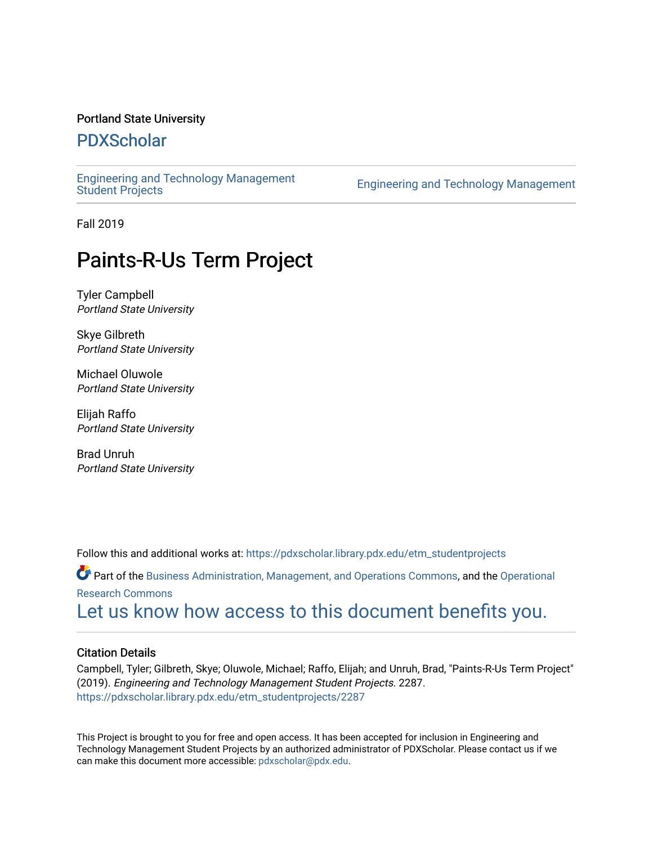#### Portland State University

## [PDXScholar](https://pdxscholar.library.pdx.edu/)

[Engineering and Technology Management](https://pdxscholar.library.pdx.edu/etm_studentprojects) 

Engineering and Technology Management

Fall 2019

# Paints-R-Us Term Project

Tyler Campbell Portland State University

Skye Gilbreth Portland State University

Michael Oluwole Portland State University

Elijah Raffo Portland State University

Brad Unruh Portland State University

Follow this and additional works at: [https://pdxscholar.library.pdx.edu/etm\\_studentprojects](https://pdxscholar.library.pdx.edu/etm_studentprojects?utm_source=pdxscholar.library.pdx.edu%2Fetm_studentprojects%2F2287&utm_medium=PDF&utm_campaign=PDFCoverPages) 

Part of the [Business Administration, Management, and Operations Commons](http://network.bepress.com/hgg/discipline/623?utm_source=pdxscholar.library.pdx.edu%2Fetm_studentprojects%2F2287&utm_medium=PDF&utm_campaign=PDFCoverPages), and the [Operational](http://network.bepress.com/hgg/discipline/308?utm_source=pdxscholar.library.pdx.edu%2Fetm_studentprojects%2F2287&utm_medium=PDF&utm_campaign=PDFCoverPages)  [Research Commons](http://network.bepress.com/hgg/discipline/308?utm_source=pdxscholar.library.pdx.edu%2Fetm_studentprojects%2F2287&utm_medium=PDF&utm_campaign=PDFCoverPages) 

[Let us know how access to this document benefits you.](http://library.pdx.edu/services/pdxscholar-services/pdxscholar-feedback/?ref=https://pdxscholar.library.pdx.edu/etm_studentprojects/2287) 

#### Citation Details

Campbell, Tyler; Gilbreth, Skye; Oluwole, Michael; Raffo, Elijah; and Unruh, Brad, "Paints-R-Us Term Project" (2019). Engineering and Technology Management Student Projects. 2287. [https://pdxscholar.library.pdx.edu/etm\\_studentprojects/2287](https://pdxscholar.library.pdx.edu/etm_studentprojects/2287?utm_source=pdxscholar.library.pdx.edu%2Fetm_studentprojects%2F2287&utm_medium=PDF&utm_campaign=PDFCoverPages)

This Project is brought to you for free and open access. It has been accepted for inclusion in Engineering and Technology Management Student Projects by an authorized administrator of PDXScholar. Please contact us if we can make this document more accessible: [pdxscholar@pdx.edu.](mailto:pdxscholar@pdx.edu)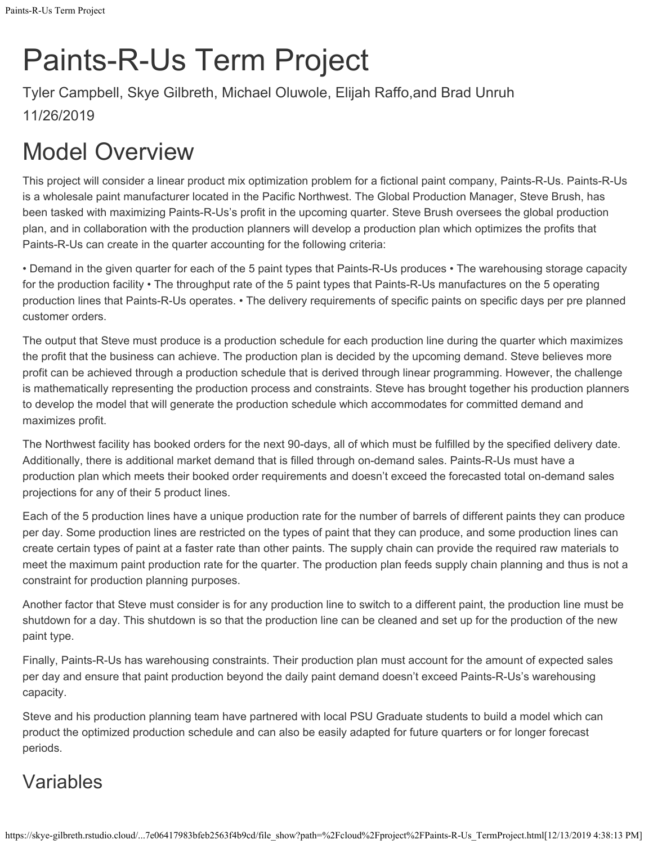# Paints-R-Us Term Project

Tyler Campbell, Skye Gilbreth, Michael Oluwole, Elijah Raffo,and Brad Unruh 11/26/2019

# Model Overview

This project will consider a linear product mix optimization problem for a fictional paint company, Paints-R-Us. Paints-R-Us is a wholesale paint manufacturer located in the Pacific Northwest. The Global Production Manager, Steve Brush, has been tasked with maximizing Paints-R-Us's profit in the upcoming quarter. Steve Brush oversees the global production plan, and in collaboration with the production planners will develop a production plan which optimizes the profits that Paints-R-Us can create in the quarter accounting for the following criteria:

• Demand in the given quarter for each of the 5 paint types that Paints-R-Us produces • The warehousing storage capacity for the production facility • The throughput rate of the 5 paint types that Paints-R-Us manufactures on the 5 operating production lines that Paints-R-Us operates. • The delivery requirements of specific paints on specific days per pre planned customer orders.

The output that Steve must produce is a production schedule for each production line during the quarter which maximizes the profit that the business can achieve. The production plan is decided by the upcoming demand. Steve believes more profit can be achieved through a production schedule that is derived through linear programming. However, the challenge is mathematically representing the production process and constraints. Steve has brought together his production planners to develop the model that will generate the production schedule which accommodates for committed demand and maximizes profit.

The Northwest facility has booked orders for the next 90-days, all of which must be fulfilled by the specified delivery date. Additionally, there is additional market demand that is filled through on-demand sales. Paints-R-Us must have a production plan which meets their booked order requirements and doesn't exceed the forecasted total on-demand sales projections for any of their 5 product lines.

Each of the 5 production lines have a unique production rate for the number of barrels of different paints they can produce per day. Some production lines are restricted on the types of paint that they can produce, and some production lines can create certain types of paint at a faster rate than other paints. The supply chain can provide the required raw materials to meet the maximum paint production rate for the quarter. The production plan feeds supply chain planning and thus is not a constraint for production planning purposes.

Another factor that Steve must consider is for any production line to switch to a different paint, the production line must be shutdown for a day. This shutdown is so that the production line can be cleaned and set up for the production of the new paint type.

Finally, Paints-R-Us has warehousing constraints. Their production plan must account for the amount of expected sales per day and ensure that paint production beyond the daily paint demand doesn't exceed Paints-R-Us's warehousing capacity.

Steve and his production planning team have partnered with local PSU Graduate students to build a model which can product the optimized production schedule and can also be easily adapted for future quarters or for longer forecast periods.

# Variables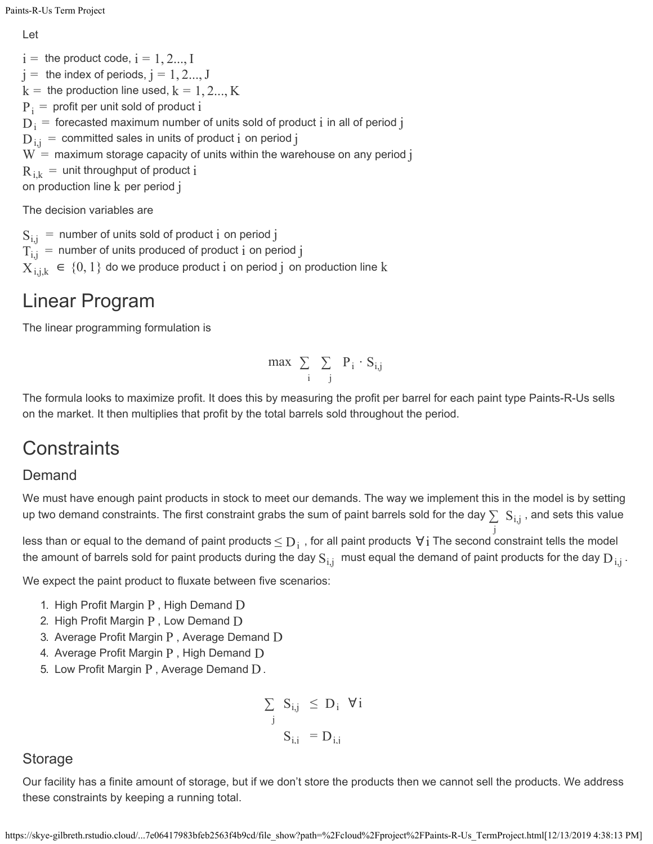Let

 $\mathrm{i} = \mathrm{~the~product~code,~i=1,2...,I}$  $\mathrm{j} = \mathrm{~the}$  index of periods,  $\mathrm{j} = 1, 2 ..., \mathrm{J}$  $\mathrm{k} = \,$  the production line used,  $\mathrm{k} = 1, 2..., \mathrm{K}$  ${\rm P}_{\rm i}$   $=$  profit per unit sold of product  ${\rm i}$  $\rm D_i^{}$   $=$  forecasted maximum number of units sold of product  $\rm i$  in all of period  $\rm j$  $\mathrm{D_{i,j}^{\mathstrut}}$  = committed sales in units of product  $\mathrm{i}$  on period  $\mathrm{j}$  $\mathrm{W}= \,$  maximum storage capacity of units within the warehouse on any period  $\mathrm{j}$  $\rm R_{\,i,k}\,=\,$  unit throughput of product  $\rm i$ on production line  ${\rm k}$  per period  ${\rm j}$ 

The decision variables are

 $\mathrm{S_{i,j}\,=\,}$  number of units sold of product  $\mathrm{i}\,$  on period  $\mathrm{j}\,$  $\rm T_{i,j}^{\phantom i}$  = <code>number</code> of units produced of product  $\rm i$  on period  $\rm j$  $\mathrm{X}_{\mathrm{i},\mathrm{j},\mathrm{k}}\ \in\ \left\{ 0,1\right\}$  do we produce product  $\mathrm{i}\,$  on period  $\mathrm{j}\,$  on production line  $\mathrm{k}\,$ 

## Linear Program

The linear programming formulation is

$$
max \sum_{i} \sum_{j} P_i \cdot S_{i,j}
$$

The formula looks to maximize profit. It does this by measuring the profit per barrel for each paint type Paints-R-Us sells on the market. It then multiplies that profit by the total barrels sold throughout the period.

## **Constraints**

## Demand

We must have enough paint products in stock to meet our demands. The way we implement this in the model is by setting up two demand constraints. The first constraint grabs the sum of paint barrels sold for the day  $\sum\ S_{\rm i,j}$  , and sets this value

less than or equal to the demand of paint products  $\leq$   $\rm D_i$  , for all paint products  $\rm\,V\,i$  The second constraint tells the model the amount of barrels sold for paint products during the day  $S_{i,j}$  must equal the demand of paint products for the day  $D_{i,j}$  . j

We expect the paint product to fluxate between five scenarios:

- 1. High Profit Margin  $P$ , High Demand  $D$
- 2. High Profit Margin  ${\rm P}$  , Low Demand  ${\rm D}$
- 3. Average Profit Margin  ${\rm P}$  , Average Demand  ${\rm D}$
- 4. Average Profit Margin  ${\rm P}$  , High Demand  ${\rm D}$
- 5. Low Profit Margin  $P$  , Average Demand  $D$ .

$$
\sum_{j} S_{i,j} \le D_i \quad \forall i
$$

$$
S_{i,i} = D_{i,i}
$$

### Storage

Our facility has a finite amount of storage, but if we don't store the products then we cannot sell the products. We address these constraints by keeping a running total.

https://skye-gilbreth.rstudio.cloud/...7e06417983bfeb2563f4b9cd/file\_show?path=%2Fcloud%2Fproject%2FPaints-R-Us\_TermProject.html[12/13/2019 4:38:13 PM]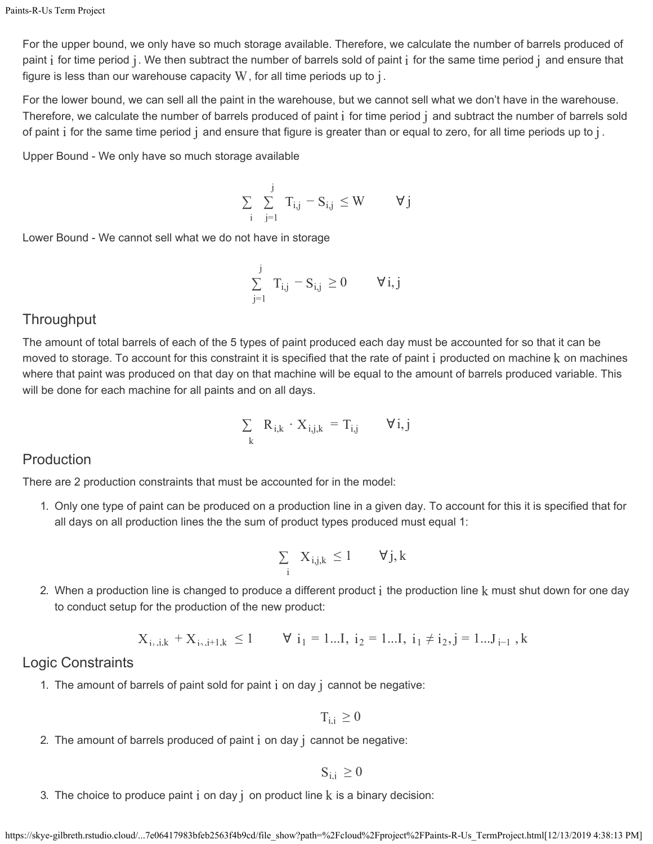For the upper bound, we only have so much storage available. Therefore, we calculate the number of barrels produced of paint  $\rm i$  for time period  $\rm j$  . We then subtract the number of barrels sold of paint  $\rm i$  for the same time period  $\rm j$  and ensure that figure is less than our warehouse capacity  $\mathrm W$  , for all time periods up to  $\mathrm j$  .

For the lower bound, we can sell all the paint in the warehouse, but we cannot sell what we don't have in the warehouse. Therefore, we calculate the number of barrels produced of paint  $\rm i$  for time period  $\rm j$  and subtract the number of barrels sold of paint  $\rm i$  for the same time period  $\rm j$  and ensure that figure is greater than or equal to zero, for all time periods up to  $\rm j$  .

Upper Bound - We only have so much storage available

$$
\sum_{i} \sum_{j=1}^{j} T_{i,j} - S_{i,j} \leq W \qquad \forall j
$$

Lower Bound - We cannot sell what we do not have in storage

$$
\textstyle\sum\limits_{j=1}^j \text{ T}_{i,j} = \text{S}_{i,j} \geq 0 \qquad \forall \, i,j
$$

### **Throughput**

The amount of total barrels of each of the 5 types of paint produced each day must be accounted for so that it can be moved to storage. To account for this constraint it is specified that the rate of paint  $\rm i$  producted on machine  $\rm k$  on machines where that paint was produced on that day on that machine will be equal to the amount of barrels produced variable. This will be done for each machine for all paints and on all days.

$$
\sum_{k} R_{i,k} \cdot X_{i,j,k} = T_{i,j} \qquad \forall i,j
$$

### Production

There are 2 production constraints that must be accounted for in the model:

1. Only one type of paint can be produced on a production line in a given day. To account for this it is specified that for all days on all production lines the the sum of product types produced must equal 1:

$$
\sum_i~X_{i,j,k}~\leq 1\qquad \forall j,k
$$

2. When a production line is changed to produce a different product  $\rm i$  the production line  $\rm k$  must shut down for one day to conduct setup for the production of the new product:

$$
X_{i_1,i,k} + X_{i_2,i+1,k} \le 1
$$
  $\forall i_1 = 1...I, i_2 = 1...I, i_1 \ne i_2, j = 1...J_{i-1}, k$ 

#### Logic Constraints

1. The amount of barrels of paint sold for paint  $i$  on day  $j$  cannot be negative:

 $T_{i,i} \geq 0$ 

2. The amount of barrels produced of paint  ${\rm i}$  on day  ${\rm j}$  cannot be negative:

$$
S_{i.i}\,\geq 0
$$

3. The choice to produce paint  ${\rm i}$  on day  ${\rm j}$  on product line  ${\rm k}$  is a binary decision: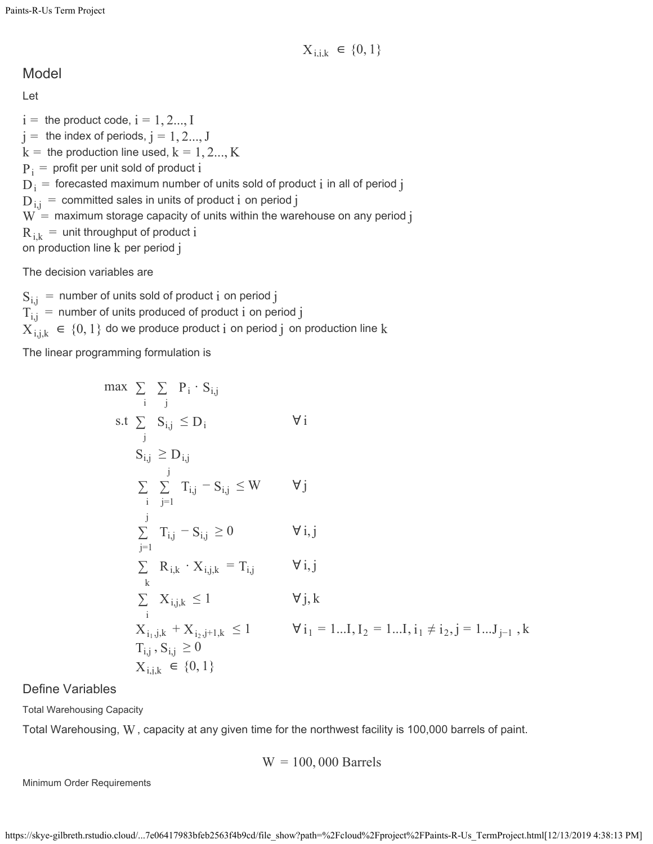Model

Let

 $\mathrm{i} = \mathrm{~the~product~code,~i=1,2...,I}$  $\mathrm{j} = \mathrm{~the}$  index of periods,  $\mathrm{j} = 1, 2 ..., \mathrm{J}$  $\mathrm{k} = \,$  the production line used,  $\mathrm{k} = 1, 2..., \mathrm{K}$  ${\rm P}_{\rm i}$   $=$  profit per unit sold of product  ${\rm i}$  $\rm D_i^{}$   $=$  forecasted maximum number of units sold of product  $\rm i$  in all of period  $\rm j$  $\mathrm{D_{i,j}^{\mathstrut}}$  = committed sales in units of product  $\mathrm{i}$  on period  $\mathrm{j}$  $\mathrm{W}= \,$  maximum storage capacity of units within the warehouse on any period  $\mathrm{j}$  $\rm R_{\,i,k}\,=\,$  unit throughput of product  $\rm i$ on production line  ${\rm k}$  per period  ${\rm j}$ 

The decision variables are

 $\mathrm{S_{i,j}\,=\,}$  number of units sold of product  $\mathrm{i}\,$  on period  $\mathrm{j}\,$  $\rm T_{i,j}^{\phantom i}$  = <code>number</code> of units produced of product  $\rm i$  on period  $\rm j$  $\mathrm{X}_{\mathrm{i},\mathrm{j},\mathrm{k}}\ \in\ \left\{ 0,1\right\}$  do we produce product  $\mathrm{i}\,$  on period  $\mathrm{j}\,$  on production line  $\mathrm{k}\,$ 

The linear programming formulation is

$$
\max \sum_{i} \sum_{j} P_{i} \cdot S_{i,j} \ns.t \sum_{j} S_{i,j} \leq D_{i} \qquad \forall i \nS_{i,j} \geq D_{i,j} \qquad \forall j \n\sum_{j=1}^{j} \sum_{j=1}^{T_{i,j}} T_{i,j} - S_{i,j} \leq W \qquad \forall j \n\sum_{j=1}^{j} T_{i,j} - S_{i,j} \geq 0 \qquad \forall i,j \n\sum_{j=1}^{j} R_{i,k} \cdot X_{i,j,k} = T_{i,j} \qquad \forall i,j \nk \qquad \sum_{i} X_{i,j,k} \leq 1 \qquad \forall j,k \nX_{i,j,k} + X_{i_2,j+1,k} \leq 1 \qquad \forall j, k \nT_{i,j}, S_{i,j} \geq 0 \nX_{i,j,k} \in \{0,1\}
$$

Define Variables

Total Warehousing Capacity

Total Warehousing,  $\rm W$  , capacity at any given time for the northwest facility is 100,000 barrels of paint.

 $W = 100,000$  Barrels

Minimum Order Requirements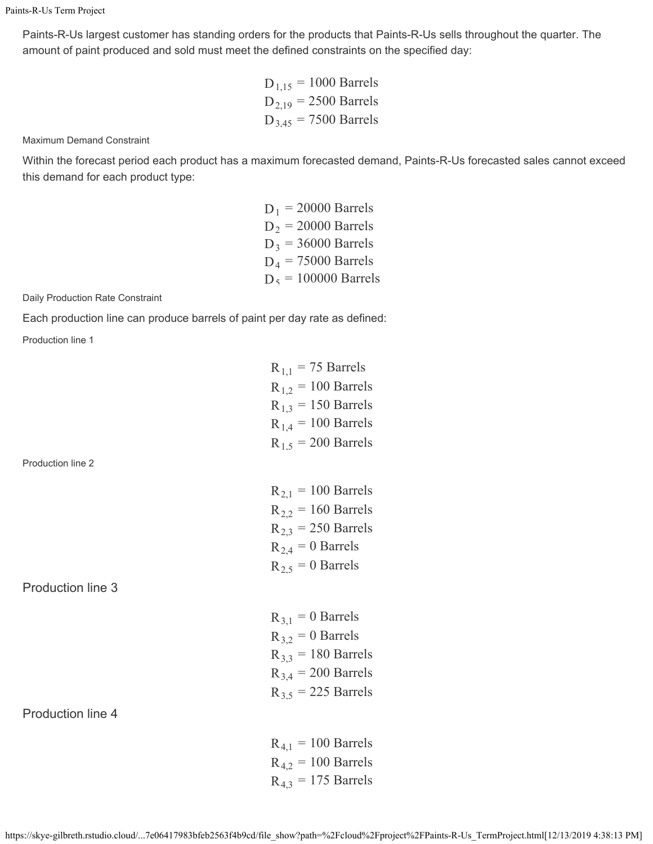Paints-R-Us largest customer has standing orders for the products that Paints-R-Us sells throughout the quarter. The amount of paint produced and sold must meet the defined constraints on the specified day:

> $D_{1,15} = 1000$  Barrels  $D_{2,19} = 2500$  Barrels  $D_{3.45} = 7500$  Barrels

Maximum Demand Constraint

Within the forecast period each product has a maximum forecasted demand, Paints-R-Us forecasted sales cannot exceed this demand for each product type:

> $D_1$  = 20000 Barrels  $D_2$  = 20000 Barrels  $D_3$  = 36000 Barrels  $D_4 = 75000$  Barrels  $D_5 = 100000$  Barrels

Daily Production Rate Constraint

Each production line can produce barrels of paint per day rate as defined:

Production line 1

|                   | $R_{1,1} = 75$ Barrels  |
|-------------------|-------------------------|
|                   | $R_{1,2} = 100$ Barrels |
|                   | $R_{1,3} = 150$ Barrels |
|                   | $R_{1,4} = 100$ Barrels |
|                   | $R_{1.5} = 200$ Barrels |
| Production line 2 |                         |
|                   | $R_{2,1} = 100$ Barrels |
|                   | $R_{2,2}$ = 160 Barrels |
|                   | $R_{2,3}$ = 250 Barrels |
|                   | $R_{2,4} = 0$ Barrels   |
|                   | $R_{2.5} = 0$ Barrels   |
| Production line 3 |                         |
|                   | $R_{3,1} = 0$ Barrels   |
|                   | $R_{3,2} = 0$ Barrels   |
|                   | $R_{3,3}$ = 180 Barrels |
|                   | $R_{3,4} = 200$ Barrels |
|                   | $R_{3.5}$ = 225 Barrels |
| Production line 4 |                         |
|                   | $R_{4,1} = 100$ Barrels |
|                   |                         |

 $R_{4.2} = 100$  Barrels  $R_{4,3}$  = 175 Barrels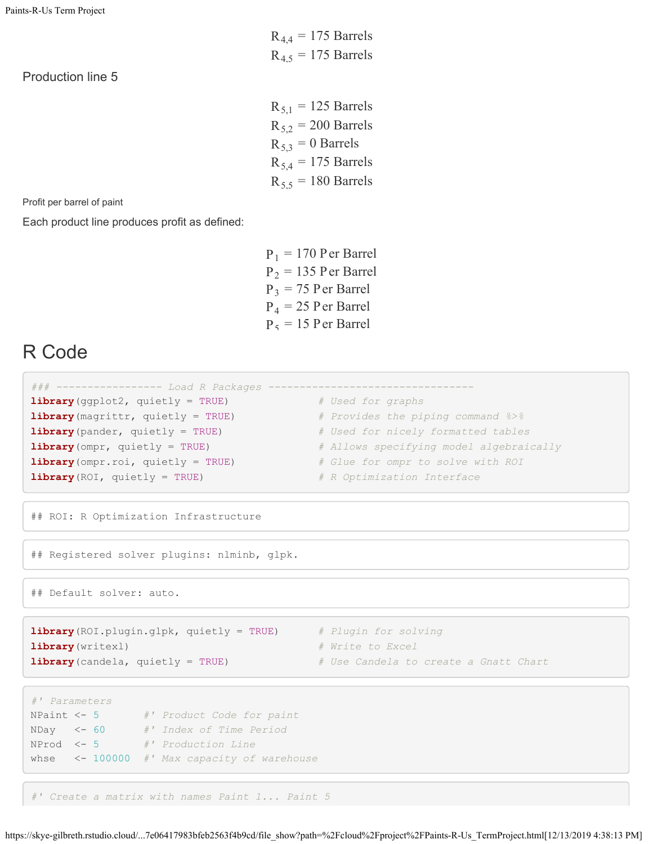Production line 5

 $R_{5,1} = 125$  Barrels  $R_{5,2} = 200$  Barrels  $R_{5,3} = 0$  Barrels  $R_{5,4} = 175$  Barrels  $R_{55}$  = 180 Barrels

 $R_{4,4} = 175$  Barrels  $R_{4.5}$  = 175 Barrels

Profit per barrel of paint

Each product line produces profit as defined:

 $P_1 = 170$  Per Barrel  $P_2 = 135$  Per Barrel  $P_3 = 75$  Per Barrel  $P_4 = 25$  P er Barrel  $P_5 = 15$  Per Barrel

## R Code

| ### ---------------- Load R Packages --                     |                                         |
|-------------------------------------------------------------|-----------------------------------------|
| $\text{library}(\text{gghot2, quietly} = \text{TRUE})$      | # Used for graphs                       |
| <b>library</b> (magrittr, quietly = TRUE)                   | # Provides the piping command %>%       |
| $\text{library}(\text{pander}, \text{quick} = \text{TRUE})$ | # Used for nicely formatted tables      |
| $\text{library (omp } r, \text{ quietly} = \text{TRUE})$    | # Allows specifying model algebraically |
| <b>library</b> (ompr. roi, quietly = TRUE)                  | # Glue for ompr to solve with ROI       |
| <b>library</b> (ROI, quietly = TRUE)                        | # R Optimization Interface              |

## ROI: R Optimization Infrastructure

## Registered solver plugins: nlminb, glpk.

## Default solver: auto.

**library**(ROI.plugin.glpk, quietly = TRUE) *# Plugin for solving* **library**(writexl) *# Write to Excel* **library**(candela, quietly = TRUE) *# Use Candela to create a Gnatt Chart*

- 
- 
- 

```
#' Parameters
NPaint <- 5 #' Product Code for paint
NDay <- 60 #' Index of Time Period
NProd <- 5 #' Production Line
whse <- 100000 #' Max capacity of warehouse
```
*#' Create a matrix with names Paint 1... Paint 5*

```
https://skye-gilbreth.rstudio.cloud/...7e06417983bfeb2563f4b9cd/file_show?path=%2Fcloud%2Fproject%2FPaints-R-Us_TermProject.html[12/13/2019 4:38:13 PM]
```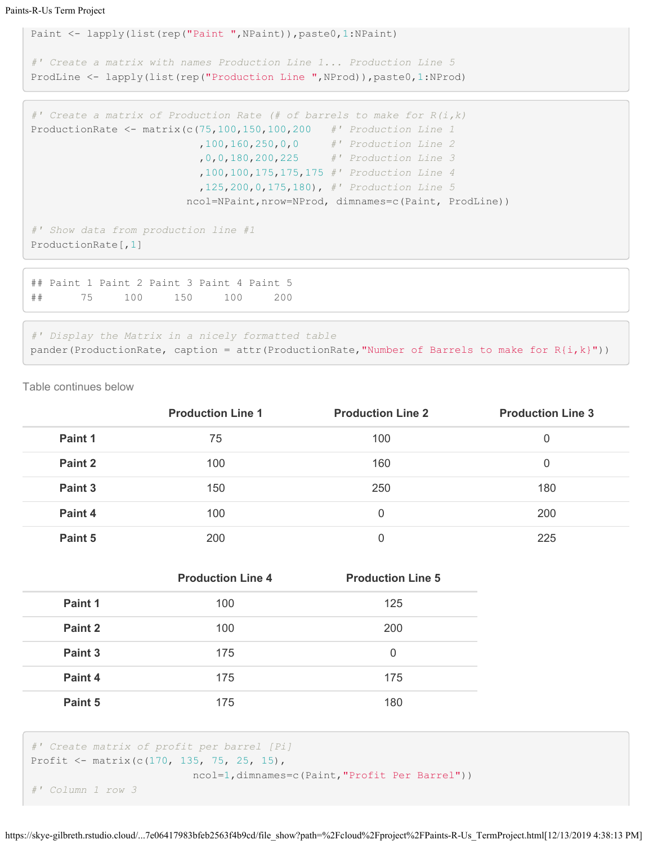```
Paint <- lapply(list(rep("Paint ",NPaint)),paste0,1:NPaint)
#' Create a matrix with names Production Line 1... Production Line 5
ProdLine <- lapply(list(rep("Production Line ",NProd)),paste0,1:NProd)
```

```
#' Create a matrix of Production Rate (# of barrels to make for R(i,k)
ProductionRate <- matrix(c(75,100,150,100,200 #' Production Line 1
                          ,100,160,250,0,0 #' Production Line 2
                           ,0,0,180,200,225 #' Production Line 3
                           ,100,100,175,175,175 #' Production Line 4
                           ,125,200,0,175,180), #' Production Line 5
                         ncol=NPaint,nrow=NProd, dimnames=c(Paint, ProdLine))
#' Show data from production line #1
ProductionRate[,1]
```

```
## Paint 1 Paint 2 Paint 3 Paint 4 Paint 5 
## 75 100 150 100 200
```

```
#' Display the Matrix in a nicely formatted table
pander(ProductionRate, caption = attr(ProductionRate, "Number of Barrels to make for R(i, k)"))
```
Table continues below

|         | <b>Production Line 1</b> | <b>Production Line 2</b> | <b>Production Line 3</b> |
|---------|--------------------------|--------------------------|--------------------------|
| Paint 1 | 75                       | 100                      |                          |
| Paint 2 | 100                      | 160                      | 0                        |
| Paint 3 | 150                      | 250                      | 180                      |
| Paint 4 | 100                      | 0                        | 200                      |
| Paint 5 | 200                      | 0                        | 225                      |

|         | <b>Production Line 4</b> | <b>Production Line 5</b> |
|---------|--------------------------|--------------------------|
| Paint 1 | 100                      | 125                      |
| Paint 2 | 100                      | 200                      |
| Paint 3 | 175                      | 0                        |
| Paint 4 | 175                      | 175                      |
| Paint 5 | 175                      | 180                      |

```
#' Create matrix of profit per barrel [Pi]
Profit <- matrix(c(170, 135, 75, 25, 15),
                         ncol=1,dimnames=c(Paint,"Profit Per Barrel"))
```

```
#' Column 1 row 3
```
https://skye-gilbreth.rstudio.cloud/...7e06417983bfeb2563f4b9cd/file\_show?path=%2Fcloud%2Fproject%2FPaints-R-Us\_TermProject.html[12/13/2019 4:38:13 PM]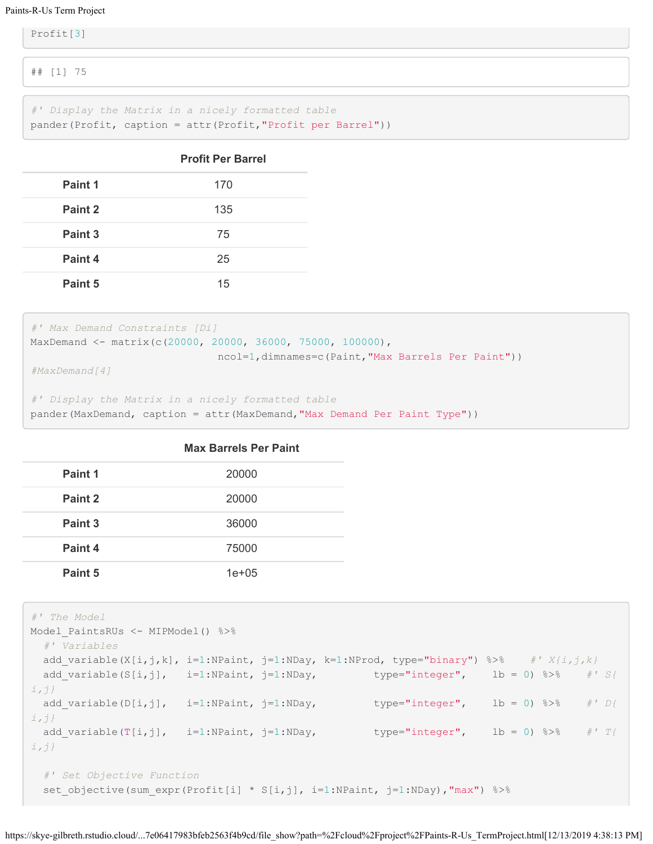#### Paints-R-Us Term Project

Profit[3]

## [1] 75

*#' Display the Matrix in a nicely formatted table* pander(Profit, caption = attr(Profit,"Profit per Barrel"))

|         | <b>Profit Per Barrel</b> |
|---------|--------------------------|
| Paint 1 | 170                      |
| Paint 2 | 135                      |
| Paint 3 | 75                       |
| Paint 4 | 25                       |
| Paint 5 | 15                       |

```
#' Max Demand Constraints [Di]
MaxDemand <- matrix(c(20000, 20000, 36000, 75000, 100000),
                              ncol=1,dimnames=c(Paint,"Max Barrels Per Paint"))
#MaxDemand[4]
```

```
#' Display the Matrix in a nicely formatted table
```

| pander (MaxDemand, caption = attr (MaxDemand, "Max Demand Per Paint Type")) |  |  |  |  |
|-----------------------------------------------------------------------------|--|--|--|--|
|                                                                             |  |  |  |  |

|         | <b>Max Barrels Per Paint</b> |
|---------|------------------------------|
| Paint 1 | 20000                        |
| Paint 2 | 20000                        |
| Paint 3 | 36000                        |
| Paint 4 | 75000                        |
| Paint 5 | $1e + 05$                    |

```
#' The Model
Model PaintsRUs <- MIPModel() %>%
  #' Variables
 add variable(X[i,j,k], i=1:NPaint, j=1:NDay, k=1:NProd, type="binary") %>% #' X{i,j,k}
 add_variable(S[i,j], i=1:NPaint, j=1:NDay, type="integer", lb = 0) %>%  #' S{
i,j}
  add_variable(D[i,j], i=1:NPaint, j=1:NDay, type="integer", lb = 0) %>% #' D{
i,j}
 add variable(T[i,j], i=1:NPaint, j=1:NDay, type="integer", lb = 0) %>%  #' T{
i,j}
  #' Set Objective Function 
 set objective(sum expr(Profit[i] * S[i,j], i=1:NPaint, j=1:NDay),"max") %>%
```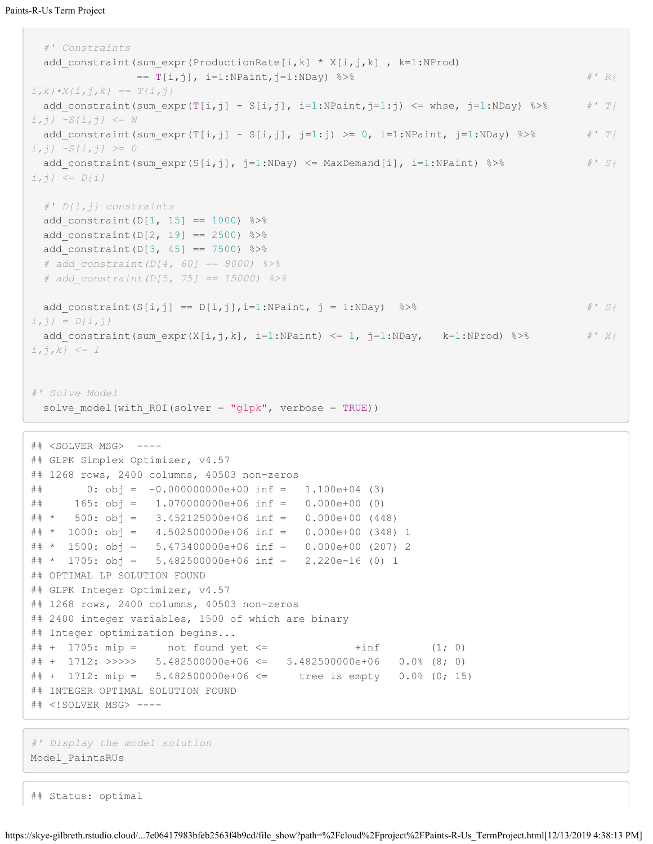```
 #' Constraints
 add constraint(sum expr(ProductionRate[i,k] * X[i,j,k] , k=1:NProd)
               == T[i,j], i=1:NPaint,j=1:NDay) %>% #' R{
i,k}•X{i,j,k} == T{i,j}
 add constraint(sum expr(T[i,j] - S[i,j], i=1:NPaint,j=1:j) <= whse, j=1:NDay) %>% #' T{
i,j} -S{i,j} <= W
 add constraint(sum expr(T[i,j] - S[i,j], j=1:j) >= 0, i=1:NPaint, j=1:NDay) %>% #' T{
i,j} -S{i,j} >= 0
 add constraint(sum expr(S[i,j], j=1:NDay) \leq MaxDemand[i], i=1:NPaint) \frac{1}{8} \frac{1}{8} / \frac{1}{8} / \frac{1}{8}i,j} <= D{i}
  #' D{i,j} constraints
 add constraint(D[1, 15] == 1000) %>%
 add_constraint(D[2, 19] == 2500) 8 > 8add constraint(D[3, 45] == 7500) %>%
  # add_constraint(D[4, 60] == 8000) %>%
  # add_constraint(D[5, 75] == 15000) %>%
 add constraint(S[i,j] == D[i,j], i=1:NPaint, j = 1:NDay) %>% #' S{
i,j} = D{i,j}
 add constraint(sum expr(X[i,j,k], i=1:NPaint) <= 1, j=1:NDay, k=1:NProd) %>% #' X{
i,j,k} <= 1
#' Solve Model 
 solve model(with ROI(solver = "glpk", verbose = TRUE))
## <SOLVER MSG> ----
## GLPK Simplex Optimizer, v4.57
## 1268 rows, 2400 columns, 40503 non-zeros
\# 0: obj = -0.0000000000 + 00 inf = 1.100e+04 (3)
## 165: obj = 1.070000000e+06 inf = 0.000e+00 (0)
## * 500: obj = 3.452125000e+06 inf = 0.000e+00 (448)
## * 1000: obj = 4.502500000e+06 inf = 0.000e+00 (348) 1
## * 1500: obj = 5.473400000e+06 inf = 0.000e+00 (207) 2
## * 1705: obj = 5.482500000e+06 inf = 2.220e-16 (0) 1
## OPTIMAL LP SOLUTION FOUND
## GLPK Integer Optimizer, v4.57
## 1268 rows, 2400 columns, 40503 non-zeros
## 2400 integer variables, 1500 of which are binary
## Integer optimization begins...
\# + 1705: mip = not found yet <= \qquad \qquad +inf (1; 0)
## + 1712: >>>>> 5.482500000e+06 <= 5.482500000e+06 0.0% (8; 0)
## + 1712: mip = 5.482500000e+06 <= tree is empty 0.0% (0; 15)
## INTEGER OPTIMAL SOLUTION FOUND
## <!SOLVER MSG> ----
```

```
#' Display the model solution
Model_PaintsRUs
```
## Status: optimal

```
https://skye-gilbreth.rstudio.cloud/...7e06417983bfeb2563f4b9cd/file_show?path=%2Fcloud%2Fproject%2FPaints-R-Us_TermProject.html[12/13/2019 4:38:13 PM]
```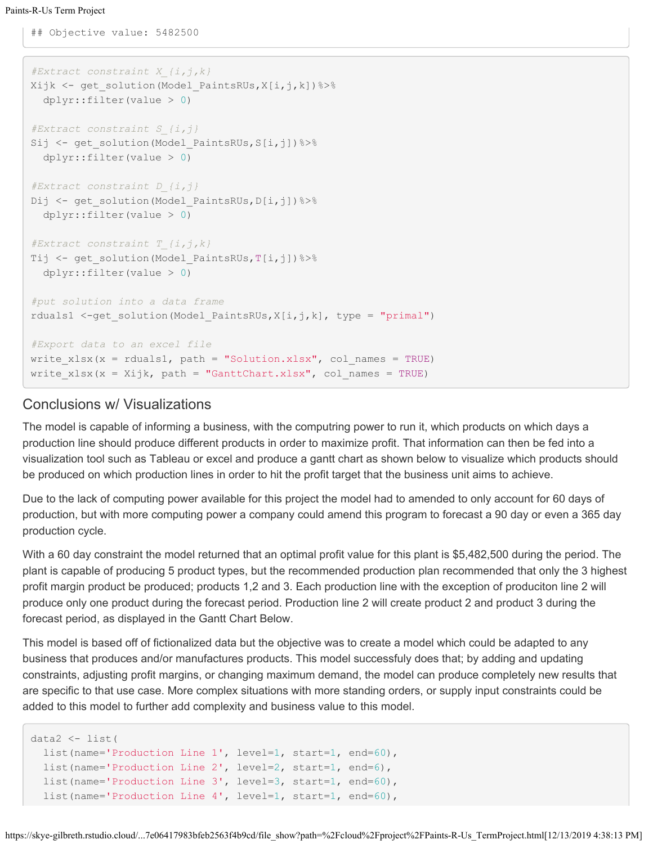## Objective value: 5482500

```
#Extract constraint X_{i,j,k}
Xijk <- get solution(Model PaintsRUs, X[i,j,k]) %>%
   dplyr::filter(value > 0)
#Extract constraint S_{i,j}
Sij <- get solution(Model PaintsRUs, S[i,j]) %>%
   dplyr::filter(value > 0)
#Extract constraint D_{i,j}
Dij <- get solution(Model PaintsRUs, D[i,j])%>%
   dplyr::filter(value > 0)
#Extract constraint T_{i,j,k}
Tij <- get solution(Model PaintsRUs, T[i,j]) %>%
   dplyr::filter(value > 0)
#put solution into a data frame
rduals1 <-get solution(Model_PaintsRUs,X[i,j,k], type = "primal")
#Export data to an excel file
write x \, \text{lsx}(x = \text{rduals1}, \text{path} = \text{``Solution.xlsx", col names} = \text{TRUE})write x \, \text{lsx}(x) = X \, \text{ijk}, path = "GanttChart.xlsx", col names = TRUE)
```
### Conclusions w/ Visualizations

The model is capable of informing a business, with the computring power to run it, which products on which days a production line should produce different products in order to maximize profit. That information can then be fed into a visualization tool such as Tableau or excel and produce a gantt chart as shown below to visualize which products should be produced on which production lines in order to hit the profit target that the business unit aims to achieve.

Due to the lack of computing power available for this project the model had to amended to only account for 60 days of production, but with more computing power a company could amend this program to forecast a 90 day or even a 365 day production cycle.

With a 60 day constraint the model returned that an optimal profit value for this plant is \$5,482,500 during the period. The plant is capable of producing 5 product types, but the recommended production plan recommended that only the 3 highest profit margin product be produced; products 1,2 and 3. Each production line with the exception of produciton line 2 will produce only one product during the forecast period. Production line 2 will create product 2 and product 3 during the forecast period, as displayed in the Gantt Chart Below.

This model is based off of fictionalized data but the objective was to create a model which could be adapted to any business that produces and/or manufactures products. This model successfuly does that; by adding and updating constraints, adjusting profit margins, or changing maximum demand, the model can produce completely new results that are specific to that use case. More complex situations with more standing orders, or supply input constraints could be added to this model to further add complexity and business value to this model.

```
data2 <- list(
 list(name='Production Line 1', level=1, start=1, end=60),
  list(name='Production Line 2', level=2, start=1, end=6),
  list(name='Production Line 3', level=3, start=1, end=60),
  list(name='Production Line 4', level=1, start=1, end=60),
```